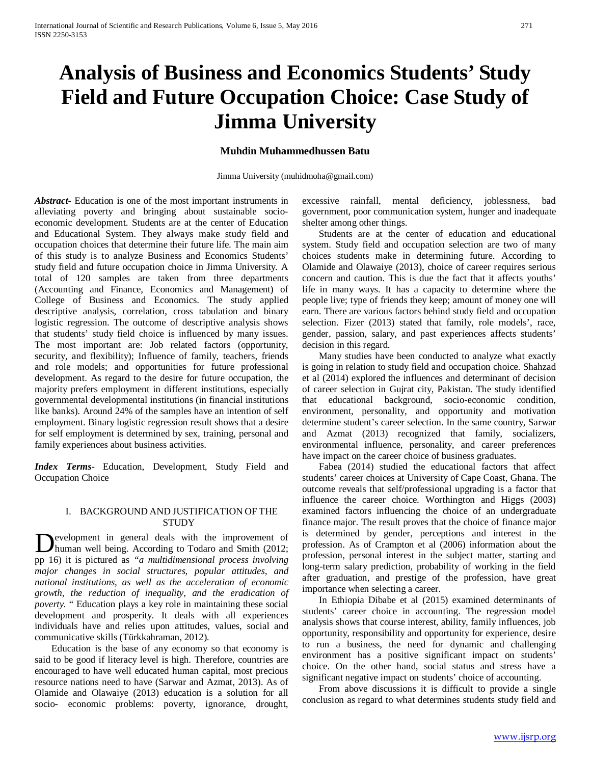# **Analysis of Business and Economics Students' Study Field and Future Occupation Choice: Case Study of Jimma University**

## **Muhdin Muhammedhussen Batu**

Jimma University (muhidmoha@gmail.com)

*Abstract***-** Education is one of the most important instruments in alleviating poverty and bringing about sustainable socioeconomic development. Students are at the center of Education and Educational System. They always make study field and occupation choices that determine their future life. The main aim of this study is to analyze Business and Economics Students' study field and future occupation choice in Jimma University. A total of 120 samples are taken from three departments (Accounting and Finance, Economics and Management) of College of Business and Economics. The study applied descriptive analysis, correlation, cross tabulation and binary logistic regression. The outcome of descriptive analysis shows that students' study field choice is influenced by many issues. The most important are: Job related factors (opportunity, security, and flexibility); Influence of family, teachers, friends and role models; and opportunities for future professional development. As regard to the desire for future occupation, the majority prefers employment in different institutions, especially governmental developmental institutions (in financial institutions like banks). Around 24% of the samples have an intention of self employment. Binary logistic regression result shows that a desire for self employment is determined by sex, training, personal and family experiences about business activities.

*Index Terms*- Education, Development, Study Field and Occupation Choice

## I. BACKGROUND AND JUSTIFICATION OF THE **STUDY**

**Example 1** Development in general deals with the improvement of human well being. According to Todaro and Smith (2012; human well being. According to Todaro and Smith (2012; pp 16) it is pictured as *"a multidimensional process involving major changes in social structures, popular attitudes, and national institutions, as well as the acceleration of economic growth, the reduction of inequality, and the eradication of poverty.* " Education plays a key role in maintaining these social development and prosperity. It deals with all experiences individuals have and relies upon attitudes, values, social and communicative skills (Türkkahraman, 2012).

 Education is the base of any economy so that economy is said to be good if literacy level is high. Therefore, countries are encouraged to have well educated human capital, most precious resource nations need to have (Sarwar and Azmat, 2013). As of Olamide and Olawaiye (2013) education is a solution for all socio- economic problems: poverty, ignorance, drought,

excessive rainfall, mental deficiency, joblessness, bad government, poor communication system, hunger and inadequate shelter among other things.

 Students are at the center of education and educational system. Study field and occupation selection are two of many choices students make in determining future. According to Olamide and Olawaiye (2013), choice of career requires serious concern and caution. This is due the fact that it affects youths' life in many ways. It has a capacity to determine where the people live; type of friends they keep; amount of money one will earn. There are various factors behind study field and occupation selection. Fizer (2013) stated that family, role models', race, gender, passion, salary, and past experiences affects students' decision in this regard.

 Many studies have been conducted to analyze what exactly is going in relation to study field and occupation choice. Shahzad et al (2014) explored the influences and determinant of decision of career selection in Gujrat city, Pakistan. The study identified that educational background, socio-economic condition, environment, personality, and opportunity and motivation determine student's career selection. In the same country, Sarwar and Azmat (2013) recognized that family, socializers, environmental influence, personality, and career preferences have impact on the career choice of business graduates.

 Fabea (2014) studied the educational factors that affect students' career choices at University of Cape Coast, Ghana. The outcome reveals that self/professional upgrading is a factor that influence the career choice. Worthington and Higgs (2003) examined factors influencing the choice of an undergraduate finance major. The result proves that the choice of finance major is determined by gender, perceptions and interest in the profession. As of Crampton et al (2006) information about the profession, personal interest in the subject matter, starting and long-term salary prediction, probability of working in the field after graduation, and prestige of the profession, have great importance when selecting a career.

 In Ethiopia Dibabe et al (2015) examined determinants of students' career choice in accounting. The regression model analysis shows that course interest, ability, family influences, job opportunity, responsibility and opportunity for experience, desire to run a business, the need for dynamic and challenging environment has a positive significant impact on students' choice. On the other hand, social status and stress have a significant negative impact on students' choice of accounting.

 From above discussions it is difficult to provide a single conclusion as regard to what determines students study field and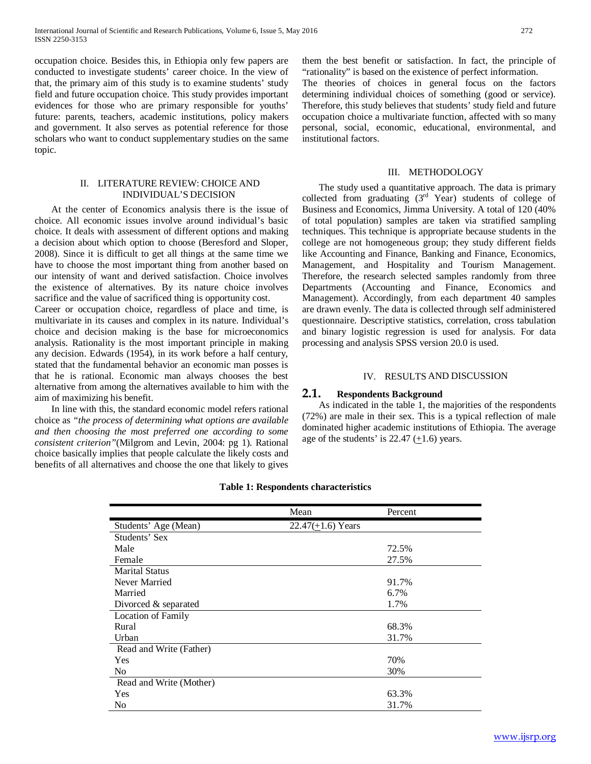occupation choice. Besides this, in Ethiopia only few papers are conducted to investigate students' career choice. In the view of that, the primary aim of this study is to examine students' study field and future occupation choice. This study provides important evidences for those who are primary responsible for youths' future: parents, teachers, academic institutions, policy makers and government. It also serves as potential reference for those scholars who want to conduct supplementary studies on the same topic.

#### II. LITERATURE REVIEW: CHOICE AND INDIVIDUAL'S DECISION

 At the center of Economics analysis there is the issue of choice. All economic issues involve around individual's basic choice. It deals with assessment of different options and making a decision about which option to choose (Beresford and Sloper, 2008). Since it is difficult to get all things at the same time we have to choose the most important thing from another based on our intensity of want and derived satisfaction. Choice involves the existence of alternatives. By its nature choice involves sacrifice and the value of sacrificed thing is opportunity cost.

Career or occupation choice, regardless of place and time, is multivariate in its causes and complex in its nature. Individual's choice and decision making is the base for microeconomics analysis. Rationality is the most important principle in making any decision. Edwards (1954), in its work before a half century, stated that the fundamental behavior an economic man posses is that he is rational. Economic man always chooses the best alternative from among the alternatives available to him with the aim of maximizing his benefit.

 In line with this, the standard economic model refers rational choice as *"the process of determining what options are available and then choosing the most preferred one according to some consistent criterion"*(Milgrom and Levin, 2004: pg 1). Rational choice basically implies that people calculate the likely costs and benefits of all alternatives and choose the one that likely to gives

them the best benefit or satisfaction. In fact, the principle of "rationality" is based on the existence of perfect information.

The theories of choices in general focus on the factors determining individual choices of something (good or service). Therefore, this study believes that students' study field and future occupation choice a multivariate function, affected with so many personal, social, economic, educational, environmental, and institutional factors.

#### III. METHODOLOGY

 The study used a quantitative approach. The data is primary collected from graduating  $(3<sup>rd</sup>$  Year) students of college of Business and Economics, Jimma University. A total of 120 (40% of total population) samples are taken via stratified sampling techniques. This technique is appropriate because students in the college are not homogeneous group; they study different fields like Accounting and Finance, Banking and Finance, Economics, Management, and Hospitality and Tourism Management. Therefore, the research selected samples randomly from three Departments (Accounting and Finance, Economics and Management). Accordingly, from each department 40 samples are drawn evenly. The data is collected through self administered questionnaire. Descriptive statistics, correlation, cross tabulation and binary logistic regression is used for analysis. For data processing and analysis SPSS version 20.0 is used.

#### IV. RESULTS AND DISCUSSION

#### **2.1. Respondents Background**

 As indicated in the table 1, the majorities of the respondents (72%) are male in their sex. This is a typical reflection of male dominated higher academic institutions of Ethiopia. The average age of the students' is 22.47  $(+1.6)$  years.

|                           | Mean                  | Percent |
|---------------------------|-----------------------|---------|
| Students' Age (Mean)      | 22.47( $+1.6$ ) Years |         |
| Students' Sex             |                       |         |
| Male                      |                       | 72.5%   |
| Female                    |                       | 27.5%   |
| <b>Marital Status</b>     |                       |         |
| Never Married             |                       | 91.7%   |
| Married                   |                       | 6.7%    |
| Divorced & separated      |                       | 1.7%    |
| <b>Location of Family</b> |                       |         |
| Rural                     |                       | 68.3%   |
| Urban                     |                       | 31.7%   |
| Read and Write (Father)   |                       |         |
| Yes                       |                       | 70%     |
| N <sub>0</sub>            |                       | 30%     |
| Read and Write (Mother)   |                       |         |
| Yes                       |                       | 63.3%   |
| N <sub>0</sub>            |                       | 31.7%   |

#### **Table 1: Respondents characteristics**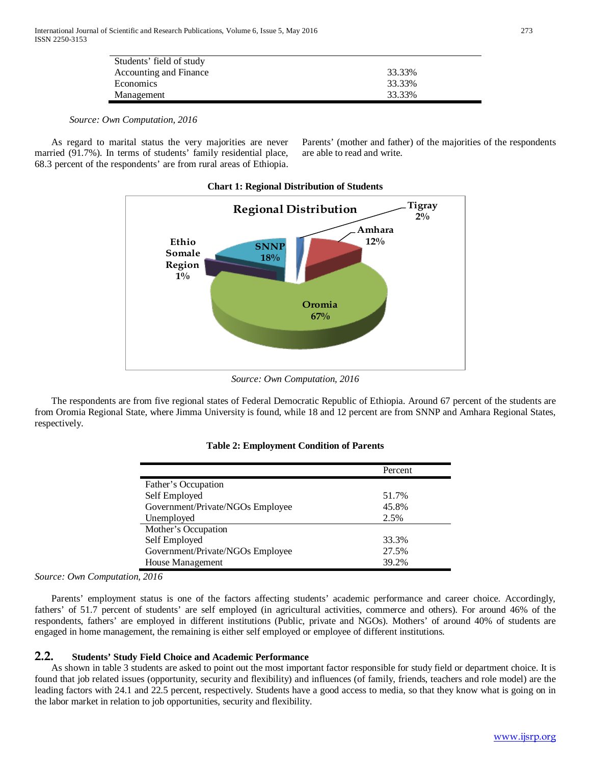| Students' field of study |        |
|--------------------------|--------|
| Accounting and Finance   | 33.33% |
| Economics                | 33.33% |
| Management               | 33.33% |

 As regard to marital status the very majorities are never married (91.7%). In terms of students' family residential place, 68.3 percent of the respondents' are from rural areas of Ethiopia. Parents' (mother and father) of the majorities of the respondents are able to read and write.



**Chart 1: Regional Distribution of Students**

*Source: Own Computation, 2016*

 The respondents are from five regional states of Federal Democratic Republic of Ethiopia. Around 67 percent of the students are from Oromia Regional State, where Jimma University is found, while 18 and 12 percent are from SNNP and Amhara Regional States, respectively.

|                                  | Percent |
|----------------------------------|---------|
| Father's Occupation              |         |
| Self Employed                    | 51.7%   |
| Government/Private/NGOs Employee | 45.8%   |
| Unemployed                       | 2.5%    |
| Mother's Occupation              |         |
| Self Employed                    | 33.3%   |
| Government/Private/NGOs Employee | 27.5%   |
| House Management                 | 39.2%   |

*Source: Own Computation, 2016*

 Parents' employment status is one of the factors affecting students' academic performance and career choice. Accordingly, fathers' of 51.7 percent of students' are self employed (in agricultural activities, commerce and others). For around 46% of the respondents, fathers' are employed in different institutions (Public, private and NGOs). Mothers' of around 40% of students are engaged in home management, the remaining is either self employed or employee of different institutions.

# **2.2. Students' Study Field Choice and Academic Performance**

 As shown in table 3 students are asked to point out the most important factor responsible for study field or department choice. It is found that job related issues (opportunity, security and flexibility) and influences (of family, friends, teachers and role model) are the leading factors with 24.1 and 22.5 percent, respectively. Students have a good access to media, so that they know what is going on in the labor market in relation to job opportunities, security and flexibility.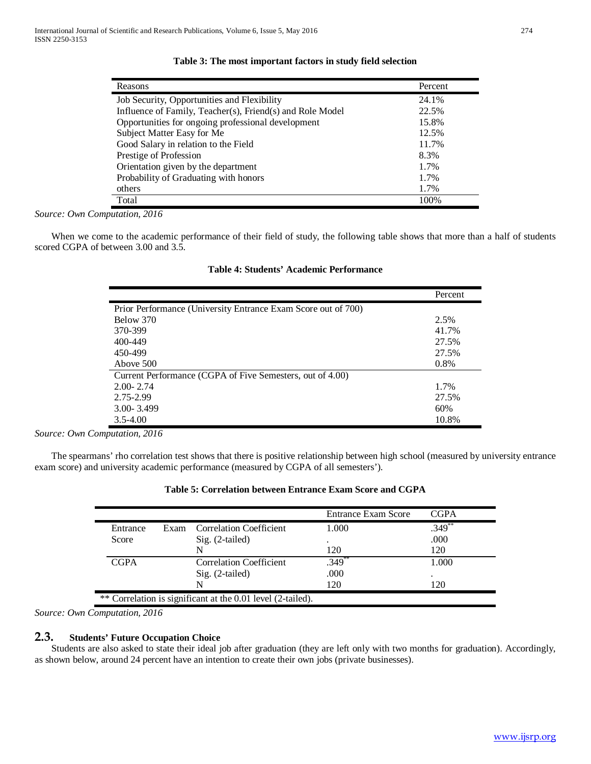| Reasons                                                   | Percent |
|-----------------------------------------------------------|---------|
| Job Security, Opportunities and Flexibility               | 24.1%   |
| Influence of Family, Teacher(s), Friend(s) and Role Model | 22.5%   |
| Opportunities for ongoing professional development        | 15.8%   |
| Subject Matter Easy for Me                                | 12.5%   |
| Good Salary in relation to the Field                      | 11.7%   |
| Prestige of Profession                                    | 8.3%    |
| Orientation given by the department                       | 1.7%    |
| Probability of Graduating with honors                     | 1.7%    |
| others                                                    | 1.7%    |
| Total                                                     | 100%    |

*Source: Own Computation, 2016* 

 When we come to the academic performance of their field of study, the following table shows that more than a half of students scored CGPA of between 3.00 and 3.5.

|                                                               | Percent |
|---------------------------------------------------------------|---------|
| Prior Performance (University Entrance Exam Score out of 700) |         |
| Below 370                                                     | 2.5%    |
| 370-399                                                       | 41.7%   |
| 400-449                                                       | 27.5%   |
| 450-499                                                       | 27.5%   |
| Above 500                                                     | 0.8%    |
| Current Performance (CGPA of Five Semesters, out of 4.00)     |         |
| $2.00 - 2.74$                                                 | 1.7%    |
| 2.75-2.99                                                     | 27.5%   |
| $3.00 - 3.499$                                                | 60%     |
| $3.5 - 4.00$                                                  | 10.8%   |

| Table 4: Students' Academic Performance |  |  |
|-----------------------------------------|--|--|
|-----------------------------------------|--|--|

*Source: Own Computation, 2016* 

 The spearmans' rho correlation test shows that there is positive relationship between high school (measured by university entrance exam score) and university academic performance (measured by CGPA of all semesters').

|             |      |                                | <b>Entrance Exam Score</b> | <b>CGPA</b> |
|-------------|------|--------------------------------|----------------------------|-------------|
| Entrance    | Exam | <b>Correlation Coefficient</b> | 1.000                      | $.349^{**}$ |
| Score       |      | $Sig. (2-tailed)$              | ٠                          | .000        |
|             |      | N                              | 120                        | 120         |
| <b>CGPA</b> |      | <b>Correlation Coefficient</b> | .349                       | 1.000       |
|             |      | $Sig. (2-tailed)$              | .000                       | ٠           |
|             |      | N                              | 120                        | 120         |

# **Table 5: Correlation between Entrance Exam Score and CGPA**

*Source: Own Computation, 2016* 

## **2.3. Students' Future Occupation Choice**

 Students are also asked to state their ideal job after graduation (they are left only with two months for graduation). Accordingly, as shown below, around 24 percent have an intention to create their own jobs (private businesses).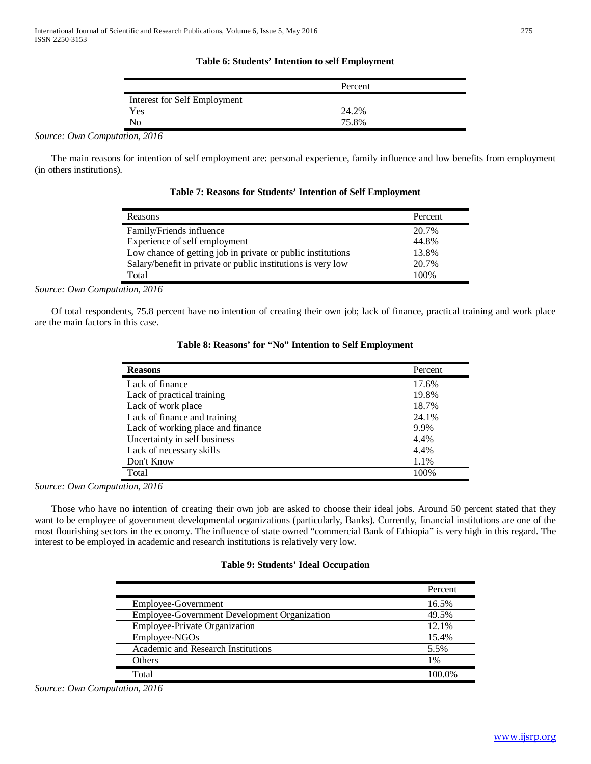#### **Table 6: Students' Intention to self Employment**

|                              | Percent |  |
|------------------------------|---------|--|
| Interest for Self Employment |         |  |
| Yes                          | 24.2%   |  |
| No                           | 75.8%   |  |

*Source: Own Computation, 2016* 

 The main reasons for intention of self employment are: personal experience, family influence and low benefits from employment (in others institutions).

**Table 7: Reasons for Students' Intention of Self Employment**

| Reasons                                                      | Percent |
|--------------------------------------------------------------|---------|
| Family/Friends influence                                     | 20.7%   |
| Experience of self employment                                | 44.8%   |
| Low chance of getting job in private or public institutions  | 13.8%   |
| Salary/benefit in private or public institutions is very low | 20.7%   |
| Total                                                        | 100%    |

*Source: Own Computation, 2016* 

 Of total respondents, 75.8 percent have no intention of creating their own job; lack of finance, practical training and work place are the main factors in this case.

| <b>Reasons</b>                    | Percent |
|-----------------------------------|---------|
| Lack of finance                   | 17.6%   |
| Lack of practical training        | 19.8%   |
| Lack of work place                | 18.7%   |
| Lack of finance and training      | 24.1%   |
| Lack of working place and finance | 9.9%    |
| Uncertainty in self business      | 4.4%    |
| Lack of necessary skills          | 4.4%    |
| Don't Know                        | 1.1%    |
| Total                             | 100%    |

**Table 8: Reasons' for "No" Intention to Self Employment**

*Source: Own Computation, 2016* 

 Those who have no intention of creating their own job are asked to choose their ideal jobs. Around 50 percent stated that they want to be employee of government developmental organizations (particularly, Banks). Currently, financial institutions are one of the most flourishing sectors in the economy. The influence of state owned "commercial Bank of Ethiopia" is very high in this regard. The interest to be employed in academic and research institutions is relatively very low.

#### **Table 9: Students' Ideal Occupation**

|                                                     | Percent |
|-----------------------------------------------------|---------|
| Employee-Government                                 | 16.5%   |
| <b>Employee-Government Development Organization</b> | 49.5%   |
| Employee-Private Organization                       | 12.1%   |
| Employee-NGOs                                       | 15.4%   |
| Academic and Research Institutions                  | 5.5%    |
| <b>Others</b>                                       | 1%      |
| Total                                               | 100.0%  |

*Source: Own Computation, 2016*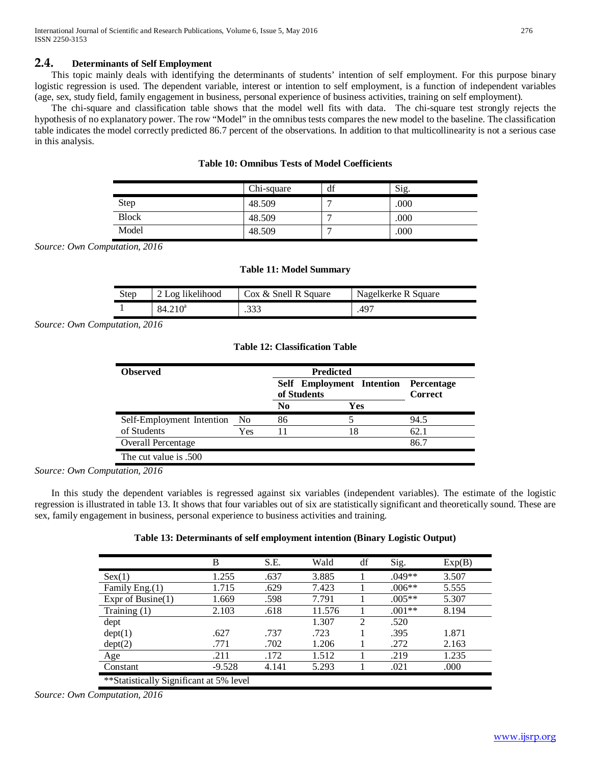# **2.4. Determinants of Self Employment**

 This topic mainly deals with identifying the determinants of students' intention of self employment. For this purpose binary logistic regression is used. The dependent variable, interest or intention to self employment, is a function of independent variables (age, sex, study field, family engagement in business, personal experience of business activities, training on self employment).

 The chi-square and classification table shows that the model well fits with data. The chi-square test strongly rejects the hypothesis of no explanatory power. The row "Model" in the omnibus tests compares the new model to the baseline. The classification table indicates the model correctly predicted 86.7 percent of the observations. In addition to that multicollinearity is not a serious case in this analysis.

|              | Chi-square | df | Sig. |
|--------------|------------|----|------|
| <b>Step</b>  | 48.509     |    | .000 |
| <b>Block</b> | 48.509     |    | .000 |
| Model        | 48.509     |    | .000 |

## **Table 10: Omnibus Tests of Model Coefficients**

*Source: Own Computation, 2016*

|  |  |  | <b>Table 11: Model Summary</b> |
|--|--|--|--------------------------------|
|--|--|--|--------------------------------|

| Step | 2 Log likelihood    | Cox & Snell R Square | Nagelkerke R Square |
|------|---------------------|----------------------|---------------------|
|      | 84.210 <sup>a</sup> |                      | .497                |

*Source: Own Computation, 2016*

**Table 12: Classification Table**

| <b>Observed</b>           | <b>Predicted</b><br>Self Employment Intention | Percentage                    |     |                |
|---------------------------|-----------------------------------------------|-------------------------------|-----|----------------|
|                           |                                               | of Students<br>N <sub>0</sub> | Yes | <b>Correct</b> |
| Self-Employment Intention | No.                                           | 86                            |     | 94.5           |
| of Students               | Yes                                           |                               | 18  | 62.1           |
| Overall Percentage        |                                               |                               |     | 86.7           |
| The cut value is .500     |                                               |                               |     |                |

*Source: Own Computation, 2016*

 In this study the dependent variables is regressed against six variables (independent variables). The estimate of the logistic regression is illustrated in table 13. It shows that four variables out of six are statistically significant and theoretically sound. These are sex, family engagement in business, personal experience to business activities and training.

# **Table 13: Determinants of self employment intention (Binary Logistic Output)**

|                                         | B        | S.E.  | Wald   | df             | Sig.     | Exp(B) |  |
|-----------------------------------------|----------|-------|--------|----------------|----------|--------|--|
| Sex(1)                                  | 1.255    | .637  | 3.885  |                | $.049**$ | 3.507  |  |
| Family Eng.(1)                          | 1.715    | .629  | 7.423  |                | $.006**$ | 5.555  |  |
| Expr of Busine $(1)$                    | 1.669    | .598  | 7.791  |                | $.005**$ | 5.307  |  |
| Training $(1)$                          | 2.103    | .618  | 11.576 |                | $.001**$ | 8.194  |  |
| dept                                    |          |       | 1.307  | $\mathfrak{D}$ | .520     |        |  |
| dept(1)                                 | .627     | .737  | .723   |                | .395     | 1.871  |  |
| dept(2)                                 | .771     | .702  | 1.206  |                | .272     | 2.163  |  |
| Age                                     | .211     | .172  | 1.512  |                | .219     | 1.235  |  |
| Constant                                | $-9.528$ | 4.141 | 5.293  |                | .021     | .000   |  |
| **Statistically Significant at 5% level |          |       |        |                |          |        |  |

*Source: Own Computation, 2016*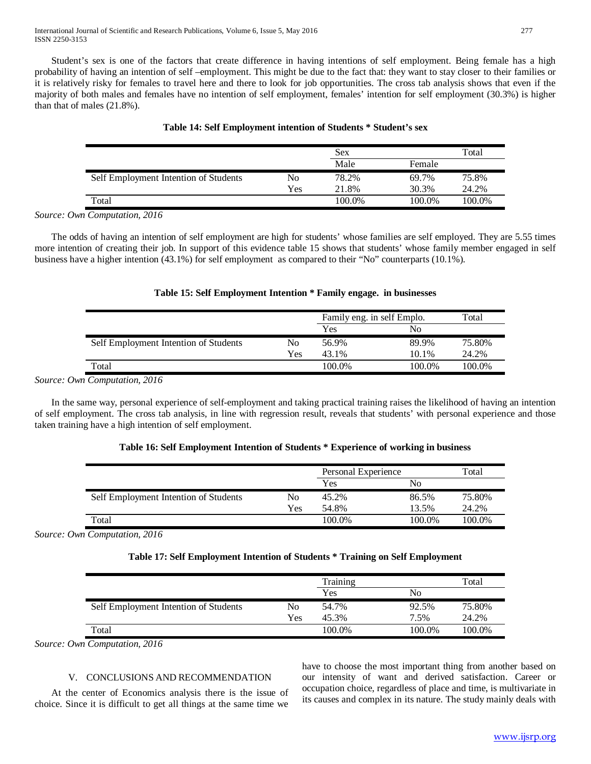International Journal of Scientific and Research Publications, Volume 6, Issue 5, May 2016 277 ISSN 2250-3153

 Student's sex is one of the factors that create difference in having intentions of self employment. Being female has a high probability of having an intention of self –employment. This might be due to the fact that: they want to stay closer to their families or it is relatively risky for females to travel here and there to look for job opportunities. The cross tab analysis shows that even if the majority of both males and females have no intention of self employment, females' intention for self employment (30.3%) is higher than that of males (21.8%).

|                                       |     | Sex    |        | Total  |
|---------------------------------------|-----|--------|--------|--------|
|                                       |     | Male   | Female |        |
| Self Employment Intention of Students | No  | 78.2%  | 69.7%  | 75.8%  |
|                                       | Yes | 21.8%  | 30.3%  | 24.2%  |
| Total                                 |     | 100.0% | 100.0% | 100.0% |

#### **Table 14: Self Employment intention of Students \* Student's sex**

*Source: Own Computation, 2016*

 The odds of having an intention of self employment are high for students' whose families are self employed. They are 5.55 times more intention of creating their job. In support of this evidence table 15 shows that students' whose family member engaged in self business have a higher intention (43.1%) for self employment as compared to their "No" counterparts (10.1%).

## **Table 15: Self Employment Intention \* Family engage. in businesses**

|                                       |     | Family eng. in self Emplo. |        | Total  |
|---------------------------------------|-----|----------------------------|--------|--------|
|                                       |     | Yes                        | No     |        |
| Self Employment Intention of Students | No  | 56.9%                      | 89.9%  | 75.80% |
|                                       | Yes | 43.1%                      | 10.1%  | 24.2%  |
| Total                                 |     | 100.0%                     | 100.0% | 100.0% |

*Source: Own Computation, 2016*

 In the same way, personal experience of self-employment and taking practical training raises the likelihood of having an intention of self employment. The cross tab analysis, in line with regression result, reveals that students' with personal experience and those taken training have a high intention of self employment.

## **Table 16: Self Employment Intention of Students \* Experience of working in business**

|                                       |     | Personal Experience |        | Total  |
|---------------------------------------|-----|---------------------|--------|--------|
|                                       |     | Yes                 | No     |        |
| Self Employment Intention of Students | No  | 45.2%               | 86.5%  | 75.80% |
|                                       | Yes | 54.8%               | 13.5%  | 24.2%  |
| Total                                 |     | 100.0%              | 100.0% | 100.0% |

*Source: Own Computation, 2016*

## **Table 17: Self Employment Intention of Students \* Training on Self Employment**

|                                       |     | Training |        | Total  |
|---------------------------------------|-----|----------|--------|--------|
|                                       |     | Yes      | No     |        |
| Self Employment Intention of Students | No  | 54.7%    | 92.5%  | 75.80% |
|                                       | Yes | 45.3%    | 7.5%   | 24.2%  |
| Total                                 |     | 100.0%   | 100.0% | 100.0% |

*Source: Own Computation, 2016*

## V. CONCLUSIONS AND RECOMMENDATION

 At the center of Economics analysis there is the issue of choice. Since it is difficult to get all things at the same time we have to choose the most important thing from another based on our intensity of want and derived satisfaction. Career or occupation choice, regardless of place and time, is multivariate in its causes and complex in its nature. The study mainly deals with